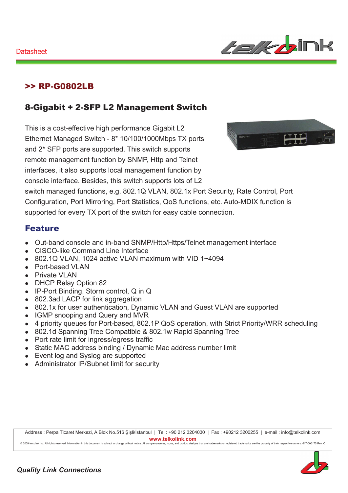

### >> RP-G0802LB

## 8-Gigabit + 2-SFP L2 Management Switch

This is a cost-effective high performance Gigabit L2 Ethernet Managed Switch - 8\* 10/100/1000Mbps TX ports and 2\* SFP ports are supported. This switch supports remote management function by SNMP, Http and Telnet interfaces, it also supports local management function by console interface. Besides, this switch supports lots of L2



switch managed functions, e.g. 802.1Q VLAN, 802.1x Port Security, Rate Control, Port Configuration, Port Mirroring, Port Statistics, QoS functions, etc. Auto-MDIX function is supported for every TX port of the switch for easy cable connection.

#### Feature

- <sup>z</sup> Out-band console and in-band SNMP/Http/Https/Telnet management interface
- <sup>z</sup> CISCO-like Command Line Interface
- $\bullet$  802.1Q VLAN, 1024 active VLAN maximum with VID 1~4094
- Port-based VLAN
- Private VLAN
- DHCP Relay Option 82
- IP-Port Binding, Storm control, Q in Q
- 802.3ad LACP for link aggregation
- 802.1x for user authentication, Dynamic VLAN and Guest VLAN are supported
- IGMP snooping and Query and MVR
- 4 priority queues for Port-based, 802.1P QoS operation, with Strict Priority/WRR scheduling
- 802.1d Spanning Tree Compatible & 802.1w Rapid Spanning Tree
- Port rate limit for ingress/egress traffic
- Static MAC address binding / Dynamic Mac address number limit
- Event log and Syslog are supported
- Administrator IP/Subnet limit for security

Address : Perpa Ticaret Merkezi, A Blok No.516 Şişli/İstanbul | Tel : +90 212 3204030 | Fax : +90212 3200255 | e-mail : info@telkolink.com  $www.telkolink.com$ 

© 2009 te Icolink Inc. All rights re se rve d. Information in this docume nt is subje ct to change without notice . All company names, logos, and product designs that are trade emarks or re :giste ŗ€ ed trade marks are : the : prope rty of the eir re spe: etive: owne rs. 617-000175 Re ev. C

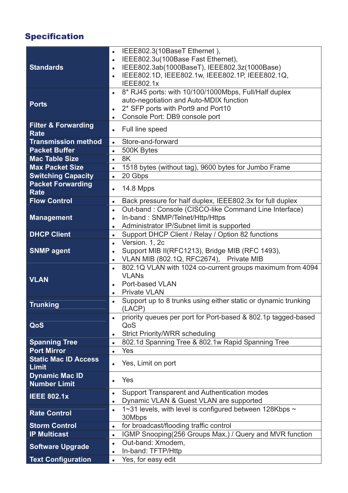# Specification

| <b>Standards</b>                             | IEEE802.3(10BaseT Ethernet),<br>$\bullet$<br>IEEE802.3u(100Base Fast Ethernet),<br>$\bullet$<br>IEEE802.3ab(1000BaseT), IEEE802.3z(1000Base)<br>$\bullet$<br>IEEE802.1D, IEEE802.1w, IEEE802.1P, IEEE802.1Q,<br>$\bullet$<br><b>IEEE802.1x</b> |
|----------------------------------------------|------------------------------------------------------------------------------------------------------------------------------------------------------------------------------------------------------------------------------------------------|
| <b>Ports</b>                                 | 8* RJ45 ports: with 10/100/1000Mbps, Full/Half duplex<br>$\bullet$<br>auto-negotiation and Auto-MDIX function<br>2* SFP ports with Port9 and Port10<br>$\bullet$<br>Console Port: DB9 console port<br>$\bullet$                                |
| <b>Filter &amp; Forwarding</b><br>Rate       | Full line speed<br>$\bullet$                                                                                                                                                                                                                   |
| <b>Transmission method</b>                   | Store-and-forward<br>$\bullet$                                                                                                                                                                                                                 |
| <b>Packet Buffer</b>                         | 500K Bytes<br>$\bullet$                                                                                                                                                                                                                        |
| <b>Mac Table Size</b>                        | 8K<br>$\bullet$                                                                                                                                                                                                                                |
| <b>Max Packet Size</b>                       | 1518 bytes (without tag), 9600 bytes for Jumbo Frame<br>$\bullet$                                                                                                                                                                              |
| <b>Switching Capacity</b>                    | 20 Gbps<br>$\bullet$                                                                                                                                                                                                                           |
| <b>Packet Forwarding</b><br>Rate             | 14.8 Mpps<br>$\bullet$                                                                                                                                                                                                                         |
| <b>Flow Control</b>                          | Back pressure for half duplex, IEEE802.3x for full duplex<br>$\bullet$                                                                                                                                                                         |
| <b>Management</b>                            | Out-band: Console (CISCO-like Command Line Interface)<br>$\bullet$<br>In-band: SNMP/Telnet/Http/Https<br>$\bullet$<br>Administrator IP/Subnet limit is supported                                                                               |
| <b>DHCP Client</b>                           | Support DHCP Client / Relay / Option 82 functions<br>$\bullet$                                                                                                                                                                                 |
| <b>SNMP agent</b>                            | Version. 1, 2c<br>$\bullet$<br>Support MIB II(RFC1213), Bridge MIB (RFC 1493),<br>$\bullet$<br>VLAN MIB (802.1Q, RFC2674), Private MIB<br>$\bullet$                                                                                            |
| <b>VLAN</b>                                  | 802.1Q VLAN with 1024 co-current groups maximum from 4094<br>$\bullet$<br><b>VLAN<sub>s</sub></b><br>Port-based VLAN<br>$\bullet$<br><b>Private VLAN</b><br>$\bullet$                                                                          |
| <b>Trunking</b>                              | Support up to 8 trunks using either static or dynamic trunking<br>(LACP)                                                                                                                                                                       |
| QoS                                          | priority queues per port for Port-based & 802.1p tagged-based<br>QoS<br><b>Strict Priority/WRR scheduling</b>                                                                                                                                  |
| <b>Spanning Tree</b>                         | 802.1d Spanning Tree & 802.1w Rapid Spanning Tree<br>$\bullet$                                                                                                                                                                                 |
| <b>Port Mirror</b>                           | Yes<br>$\bullet$                                                                                                                                                                                                                               |
| <b>Static Mac ID Access</b><br>Limit         | Yes, Limit on port                                                                                                                                                                                                                             |
| <b>Dynamic Mac ID</b><br><b>Number Limit</b> | Yes                                                                                                                                                                                                                                            |
| <b>IEEE 802.1x</b>                           | Support Transparent and Authentication modes<br>Dynamic VLAN & Guest VLAN are supported<br>$\bullet$                                                                                                                                           |
| <b>Rate Control</b>                          | 1~31 levels, with level is configured between 128Kbps ~<br>$\bullet$<br>30Mbps                                                                                                                                                                 |
| <b>Storm Control</b>                         | for broadcast/flooding traffic control<br>$\bullet$                                                                                                                                                                                            |
| <b>IP Multicast</b>                          | IGMP Snooping(256 Groups Max.) / Query and MVR function<br>$\bullet$                                                                                                                                                                           |
| <b>Software Upgrade</b>                      | Out-band: Xmodem,<br>$\bullet$<br>In-band: TFTP/Http                                                                                                                                                                                           |
| <b>Text Configuration</b>                    | Yes, for easy edit<br>$\bullet$                                                                                                                                                                                                                |